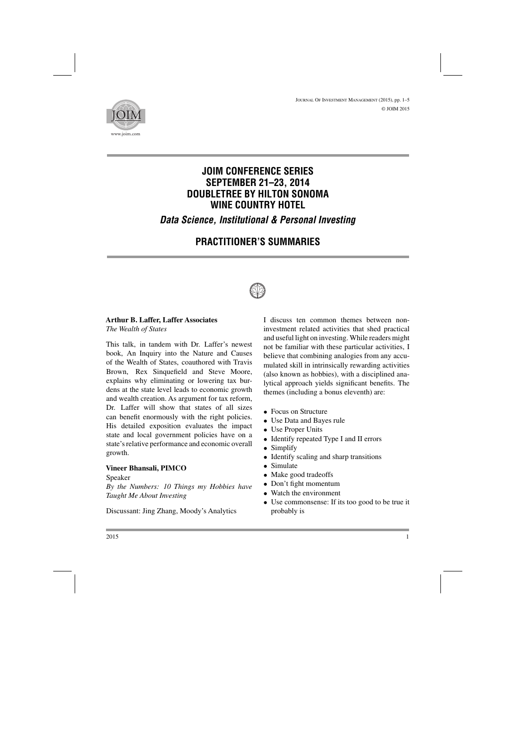

# **JOIM CONFERENCE SERIES SEPTEMBER 21–23, 2014 DOUBLETREE BY HILTON SONOMA WINE COUNTRY HOTEL**

*Data Science, Institutional & Personal Investing*

# **PRACTITIONER'S SUMMARIES**



## **Arthur B. Laffer, Laffer Associates**

*The Wealth of States*

This talk, in tandem with Dr. Laffer's newest book, An Inquiry into the Nature and Causes of the Wealth of States, coauthored with Travis Brown, Rex Sinquefield and Steve Moore, explains why eliminating or lowering tax burdens at the state level leads to economic growth and wealth creation. As argument for tax reform, Dr. Laffer will show that states of all sizes can benefit enormously with the right policies. His detailed exposition evaluates the impact state and local government policies have on a state's relative performance and economic overall growth.

### **Vineer Bhansali, PIMCO**

Speaker

*By the Numbers: 10 Things my Hobbies have Taught Me About Investing*

Discussant: Jing Zhang, Moody's Analytics

I discuss ten common themes between noninvestment related activities that shed practical and useful light on investing. While readers might not be familiar with these particular activities, I believe that combining analogies from any accumulated skill in intrinsically rewarding activities (also known as hobbies), with a disciplined analytical approach yields significant benefits. The themes (including a bonus eleventh) are:

- Focus on Structure
- Use Data and Bayes rule
- Use Proper Units
- Identify repeated Type I and II errors
- Simplify
- Identify scaling and sharp transitions
- Simulate
- Make good tradeoffs
- Don't fight momentum
- Watch the environment
- Use commonsense: If its too good to be true it probably is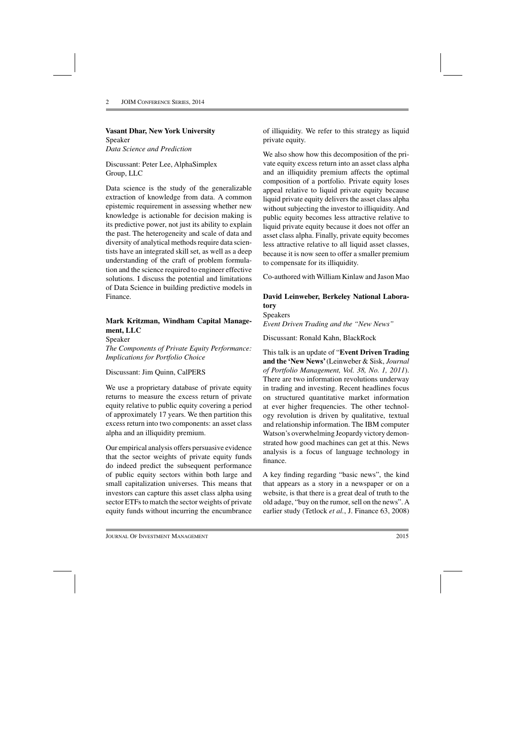### **Vasant Dhar, New York University**

Speaker *Data Science and Prediction*

Discussant: Peter Lee, AlphaSimplex Group, LLC

Data science is the study of the generalizable extraction of knowledge from data. A common epistemic requirement in assessing whether new knowledge is actionable for decision making is its predictive power, not just its ability to explain the past. The heterogeneity and scale of data and diversity of analytical methods require data scientists have an integrated skill set, as well as a deep understanding of the craft of problem formulation and the science required to engineer effective solutions. I discuss the potential and limitations of Data Science in building predictive models in Finance.

## **Mark Kritzman, Windham Capital Management, LLC**

Speaker *The Components of Private Equity Performance: Implications for Portfolio Choice*

### Discussant: Jim Quinn, CalPERS

We use a proprietary database of private equity returns to measure the excess return of private equity relative to public equity covering a period of approximately 17 years. We then partition this excess return into two components: an asset class alpha and an illiquidity premium.

Our empirical analysis offers persuasive evidence that the sector weights of private equity funds do indeed predict the subsequent performance of public equity sectors within both large and small capitalization universes. This means that investors can capture this asset class alpha using sector ETFs to match the sector weights of private equity funds without incurring the encumbrance

of illiquidity. We refer to this strategy as liquid private equity.

We also show how this decomposition of the private equity excess return into an asset class alpha and an illiquidity premium affects the optimal composition of a portfolio. Private equity loses appeal relative to liquid private equity because liquid private equity delivers the asset class alpha without subjecting the investor to illiquidity. And public equity becomes less attractive relative to liquid private equity because it does not offer an asset class alpha. Finally, private equity becomes less attractive relative to all liquid asset classes, because it is now seen to offer a smaller premium to compensate for its illiquidity.

Co-authored with William Kinlaw and Jason Mao

# **David Leinweber, Berkeley National Laboratory**

Speakers *Event Driven Trading and the "New News"*

Discussant: Ronald Kahn, BlackRock

This talk is an update of "**Event Driven Trading and the 'New News'**(Leinweber & Sisk, *Journal of Portfolio Management, Vol. 38, No. 1, 2011*). There are two information revolutions underway in trading and investing. Recent headlines focus on structured quantitative market information at ever higher frequencies. The other technology revolution is driven by qualitative, textual and relationship information. The IBM computer Watson's overwhelming Jeopardy victory demonstrated how good machines can get at this. News analysis is a focus of language technology in finance.

A key finding regarding "basic news", the kind that appears as a story in a newspaper or on a website, is that there is a great deal of truth to the old adage, "buy on the rumor, sell on the news". A earlier study (Tetlock *et al.*, J. Finance 63, 2008)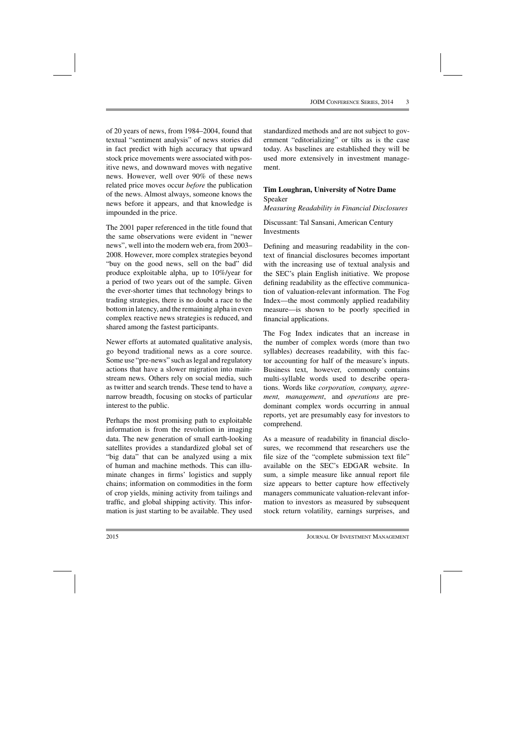of 20 years of news, from 1984–2004, found that textual "sentiment analysis" of news stories did in fact predict with high accuracy that upward stock price movements were associated with positive news, and downward moves with negative news. However, well over 90% of these news related price moves occur *before* the publication of the news. Almost always, someone knows the news before it appears, and that knowledge is impounded in the price.

The 2001 paper referenced in the title found that the same observations were evident in "newer news", well into the modern web era, from 2003– 2008. However, more complex strategies beyond "buy on the good news, sell on the bad" did produce exploitable alpha, up to 10%/year for a period of two years out of the sample. Given the ever-shorter times that technology brings to trading strategies, there is no doubt a race to the bottom in latency, and the remaining alpha in even complex reactive news strategies is reduced, and shared among the fastest participants.

Newer efforts at automated qualitative analysis, go beyond traditional news as a core source. Some use "pre-news" such as legal and regulatory actions that have a slower migration into mainstream news. Others rely on social media, such as twitter and search trends. These tend to have a narrow breadth, focusing on stocks of particular interest to the public.

Perhaps the most promising path to exploitable information is from the revolution in imaging data. The new generation of small earth-looking satellites provides a standardized global set of "big data" that can be analyzed using a mix of human and machine methods. This can illuminate changes in firms' logistics and supply chains; information on commodities in the form of crop yields, mining activity from tailings and traffic, and global shipping activity. This information is just starting to be available. They used standardized methods and are not subject to government "editorializing" or tilts as is the case today. As baselines are established they will be used more extensively in investment management.

### **Tim Loughran, University of Notre Dame** Speaker

*Measuring Readability in Financial Disclosures*

Discussant: Tal Sansani, American Century Investments

Defining and measuring readability in the context of financial disclosures becomes important with the increasing use of textual analysis and the SEC's plain English initiative. We propose defining readability as the effective communication of valuation-relevant information. The Fog Index—the most commonly applied readability measure—is shown to be poorly specified in financial applications.

The Fog Index indicates that an increase in the number of complex words (more than two syllables) decreases readability, with this factor accounting for half of the measure's inputs. Business text, however, commonly contains multi-syllable words used to describe operations. Words like *corporation, company, agreement, management*, and *operations* are predominant complex words occurring in annual reports, yet are presumably easy for investors to comprehend.

As a measure of readability in financial disclosures, we recommend that researchers use the file size of the "complete submission text file" available on the SEC's EDGAR website. In sum, a simple measure like annual report file size appears to better capture how effectively managers communicate valuation-relevant information to investors as measured by subsequent stock return volatility, earnings surprises, and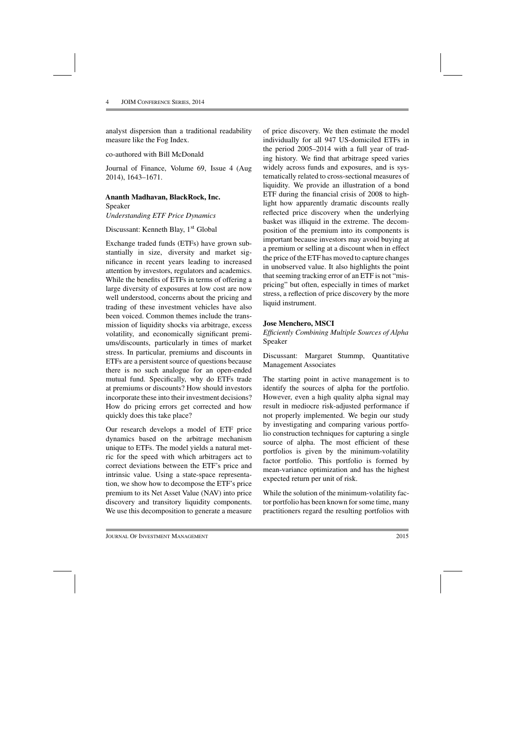analyst dispersion than a traditional readability measure like the Fog Index.

co-authored with Bill McDonald

Journal of Finance, Volume 69, Issue 4 (Aug 2014), 1643–1671.

#### **Ananth Madhavan, BlackRock, Inc.**

Speaker *Understanding ETF Price Dynamics*

#### Discussant: Kenneth Blay, 1<sup>st</sup> Global

Exchange traded funds (ETFs) have grown substantially in size, diversity and market significance in recent years leading to increased attention by investors, regulators and academics. While the benefits of ETFs in terms of offering a large diversity of exposures at low cost are now well understood, concerns about the pricing and trading of these investment vehicles have also been voiced. Common themes include the transmission of liquidity shocks via arbitrage, excess volatility, and economically significant premiums/discounts, particularly in times of market stress. In particular, premiums and discounts in ETFs are a persistent source of questions because there is no such analogue for an open-ended mutual fund. Specifically, why do ETFs trade at premiums or discounts? How should investors incorporate these into their investment decisions? How do pricing errors get corrected and how quickly does this take place?

Our research develops a model of ETF price dynamics based on the arbitrage mechanism unique to ETFs. The model yields a natural metric for the speed with which arbitragers act to correct deviations between the ETF's price and intrinsic value. Using a state-space representation, we show how to decompose the ETF's price premium to its Net Asset Value (NAV) into price discovery and transitory liquidity components. We use this decomposition to generate a measure

of price discovery. We then estimate the model individually for all 947 US-domiciled ETFs in the period 2005–2014 with a full year of trading history. We find that arbitrage speed varies widely across funds and exposures, and is systematically related to cross-sectional measures of liquidity. We provide an illustration of a bond ETF during the financial crisis of 2008 to highlight how apparently dramatic discounts really reflected price discovery when the underlying basket was illiquid in the extreme. The decomposition of the premium into its components is important because investors may avoid buying at a premium or selling at a discount when in effect the price of the ETF has moved to capture changes in unobserved value. It also highlights the point that seeming tracking error of an ETF is not "mispricing" but often, especially in times of market stress, a reflection of price discovery by the more liquid instrument.

### **Jose Menchero, MSCI**

*Efficiently Combining Multiple Sources of Alpha* Speaker

Discussant: Margaret Stummp, Quantitative Management Associates

The starting point in active management is to identify the sources of alpha for the portfolio. However, even a high quality alpha signal may result in mediocre risk-adjusted performance if not properly implemented. We begin our study by investigating and comparing various portfolio construction techniques for capturing a single source of alpha. The most efficient of these portfolios is given by the minimum-volatility factor portfolio. This portfolio is formed by mean-variance optimization and has the highest expected return per unit of risk.

While the solution of the minimum-volatility factor portfolio has been known for some time, many practitioners regard the resulting portfolios with